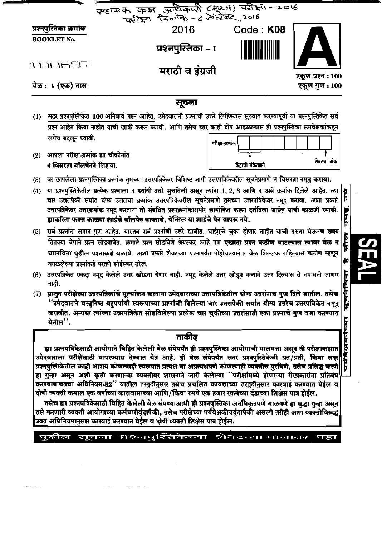| प्रश्नपुस्तिका क्रमांक<br><b>BOOKLET No.</b> | सहायक कक्ष आदिकारी (मुख्य) वरी हैं। 2016<br>2016<br>प्रश्नपुस्तिका – I                                                             |                 | Code: K08 |                   |
|----------------------------------------------|------------------------------------------------------------------------------------------------------------------------------------|-----------------|-----------|-------------------|
| <b>TODEal</b>                                | मराठी व इंग्रजी                                                                                                                    |                 |           | एकूण प्रश्न : 100 |
|                                              |                                                                                                                                    |                 |           | एकूण गुण : 100    |
|                                              | सूचना                                                                                                                              |                 |           |                   |
| वेळ : 1 (एक) तास<br>(1)                      | सदर प्रश्नपुस्तिकेत 100 अनिवार्य प्रश्न आहेत. उमेदवारांनी प्रश्नांची उत्तरे लिहिण्यास सुरुवात करण्यापूर्वी या प्रश्नपुस्तिकेत सर्व |                 |           |                   |
| लगेच बदलून घ्यावी.                           | प्रश्न आहेत किंवा नाहीत याची खात्री करून घ्यावी. आणि तसेच इतर काही दोष आढळल्यास ही प्रश्नपुस्तिका समवेक्षकांकडून                   | परीक्षा-क्रमांक |           |                   |
| आपला परीक्षा-क्रमांक ह्या चौकोनांत<br>(2)    |                                                                                                                                    |                 |           | शेवटचा अंक        |

चार उत्तरांपैकी सर्वात योग्य उत्तराचा क्रमांक उत्तरपत्रिकेवरील सूचनेप्रमाणे तुमच्या उत्तरपत्रिकेवर नमूद करावा. अशा प्रकारे उत्तरपत्रिकेवर उत्तरक्रमांक नमुद करताना तो संबंधित प्रश्नक्रमांकासमोर छायांकित करून दर्शविला जाईल याची काळजी घ्यावी. ह्याकरिता फक्त काळ्या शाईचे बॉलपेन वापरावे, पेन्सिल वा शाईचे पेन वापरू नये.

中国

्<br>संस्

₩

- (5) सर्व प्रश्नांना समान गुण आहेत. यास्तव सर्व प्रश्नांची उत्तरे द्यावीत. घाईमुळे चुका होणार नाहीत याची दक्षता घेऊनच शक्य तितक्या वेगाने प्रश्न सोडवावेत. क्रमाने प्रश्न सोडविणे श्रेयस्कर आहे पण एखादा प्रश्न कठीण वाटल्यास त्यावर वेळ न घालविता पुढील प्रश्नाकडे वळावे. अशा प्रकारे शेवटच्या प्रश्नापर्यंत पोहोचल्यानंतर वेळ शिल्लक राहिल्यास कठीण म्हणून वगळलेल्या प्रश्नांकडे परतणे सोईस्कर ठरेल.
- (6) उत्तरपत्रिकेत एकदा नमूद केलेले उत्तर खोडता येणार नाही. नमूद केलेले उत्तर खोडून नव्याने उत्तर दिल्यास ते तपासले जाणार नाही.
- सुचनेखिना (7) प्रस्तुत परीक्षेच्या उत्तरपत्रिकांचे मूल्यांकन करताना उमेदवाराच्या उत्तरपत्रिकेतील योग्य उत्तरांनाच गुण दिले जातील. तसेच ''उमेदवाराने वस्तुनिष्ठ बहुपर्यायी स्वरूपाच्या प्रश्नांची दिलेल्या चार उत्तरापैकी सर्वात योग्य उत्तरेच उत्तरपत्रिकेत नमूद करावीत. अन्यथा त्यांच्या उत्तरपत्रिकेत सोडविलेल्या प्रत्येक चार चुकीच्या उत्तरांसाठी एका प्रश्नाचे गुण वजा करण्यात येतील".

# ताकीढ

ह्या प्रश्नपत्रिकेसाठी आयोगाने विहित केलेली वेळ संपेपर्यंत ही प्रश्नपुस्तिका आयोगाची मालमत्ता असून ती परीक्षाकक्षात उमेदवाराला परीक्षेसाठी वापरण्यास देण्यात येत आहे. ही वेळ संपेपर्यंत सदर प्रश्नपुस्तिकेची प्रत/प्रती, किंवा सदर प्रश्नपुस्तिकेतील काही आशय कोणत्याही स्वरूपात प्रत्यक्ष वा अप्रत्यक्षपणे कोणत्याही व्यक्तीस पुरविणे, तसेच प्रसिद्ध करणे हा गुन्हा असून अशी कृती करणाऱ्या व्यक्तीवर शासनाने जारी केलेल्या ''परीक्षांमध्ये होणाऱ्या गैरप्रकारांना प्रतिबंध करण्याबाबतचा अधिनियम-82'' यातील तरतुदीनुसार तसेच प्रचलित कायद्याच्या तरतुदीनुसार कारवाई करण्यात येईल व दोषी व्यक्ती कमाल एक वर्षाच्या कारावासाच्या आणि/किंवा रुपये एक हजार रकमेच्या दंडाच्या शिक्षेस पात्र होईल.

तसेच ह्या प्रश्नपत्रिकेसाठी विहित केलेली वेळ संपण्याआधी ही प्रश्नपुस्तिका अनधिकृतपणे बाळगणे हा सुद्धा गुन्हा असून तसे करणारी व्यक्ती आयोगाच्या कर्मचारीवुंदापैकी, तसेच परीक्षेच्या पर्यवेक्षकीयवुंदापैकी असली तरीही अशा व्यक्तीविरूद्ध उक्त अधिनियमानुसार कारवाई करण्यात येईल व दोषी व्यक्ती शिक्षेस पात्र होईल.

#### पदील सूचना प्रश्नपूरितेकेच्या पहा शेवटच्या पानावर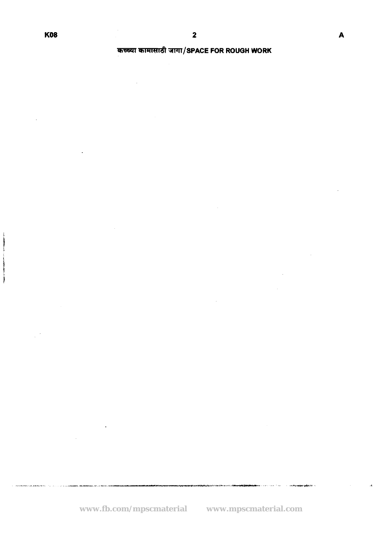# *S5SJl* **=llT/SPACE FOR ROUGH WORK**

ويبدأ أأعجم والمعمد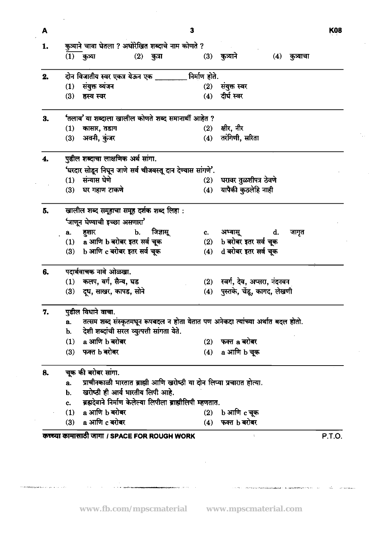| A  |     |                                                                                 |              | 3   |                                 |    |                | K08    |
|----|-----|---------------------------------------------------------------------------------|--------------|-----|---------------------------------|----|----------------|--------|
| 1. |     | कुत्र्याने चावा घेतला ? अधोरेखित शब्दाचे नाम कोणते ?                            |              |     |                                 |    |                |        |
|    |     | $(1)$ कुत्र्या                                                                  | $(2)$ कुत्रा |     | (3) कुत्र्याने                  |    | (4) कुत्र्याचा |        |
| 2. |     | दोन विजातीय स्वर एकत्र येऊन एक _______ निर्माण होते.                            |              |     |                                 |    |                |        |
|    | (1) | संयुक्त व्यंजन                                                                  |              | (2) | संयुक्त स्वर                    |    |                |        |
|    | (3) | हस्व स्वर                                                                       |              | (4) | दीर्घ स्वर                      |    |                |        |
| 3. |     | 'तलाव' या शब्दाला खालील कोणते शब्द समानार्थी आहेत ?                             |              |     |                                 |    |                |        |
|    | (1) | कासार, तडाग                                                                     |              | (2) | क्षीर, नीर                      |    |                |        |
|    | (3) | अवनी, कुंजर                                                                     |              | (4) | तरंगिणी, सरिता                  |    |                |        |
| 4. |     | पुढील शब्दाचा लाक्षणिक अर्थ सांगा.                                              |              |     |                                 |    |                |        |
|    |     | 'घरदार सोडून निघून जाणे सर्व चीजवस्तू दान देण्यास सांगणे'.                      |              |     |                                 |    |                |        |
|    |     | (1) संन्यास घेणे                                                                |              |     | (2) घरावर तुळशीपत्र ठेवणे       |    |                |        |
|    | (3) | घर गहाण टाकणे                                                                   |              | (4) | यापैकी कुठलेहि नाही             |    |                |        |
| 5. |     | खालील शब्द समूहाचा समूह दर्शक शब्द लिहा :                                       |              |     |                                 |    |                |        |
|    |     | 'जाणून घेण्याची इच्छा असणारा'                                                   |              |     |                                 |    |                |        |
|    |     | a. हुशार<br>$\mathbf{b}$ .                                                      | जिज्ञासू     | c.  | अभ्यासू                         | d. | जागृत          |        |
|    |     | (1) a आणि b बरोबर इतर सर्व चूक                                                  |              | (2) | b बरोबर इतर सर्व चूक            |    |                |        |
|    |     | (3) b आणि c बरोबर इतर सर्व चूक                                                  |              | (4) | d बरोबर इतर सर्व चूक            |    |                |        |
| 6. |     | पदार्थवाचक नावे ओळखा.                                                           |              |     |                                 |    |                |        |
|    |     | (1) कलप, वर्ग, सैन्य, घड                                                        |              |     | (2) स्वर्ग, देव, अप्सरा, नंदनवन |    |                |        |
|    |     | (3) दूध, साखर, कापड, सोने                                                       |              |     | (4) पुस्तके, चेंडू, कागद, लेखणी |    |                |        |
|    |     | पुढील विधाने वाचा                                                               |              |     |                                 |    |                |        |
|    | a.  | तत्सम शब्द संस्कृतमधून रूपबदल न होता येतात पण अनेकदा त्यांच्या अर्थात बदल होतो. |              |     |                                 |    |                |        |
|    | b.  | देशी शब्दांची सरल व्युत्पत्ती सांगता येते.                                      |              |     |                                 |    |                |        |
|    | (1) | a आणि b बरोबर                                                                   |              | (2) | फक्त a बरोबर                    |    |                |        |
|    |     | (3) फक्त b बरोबर                                                                |              | (4) | a आणि b चूक                     |    |                |        |
| 8. |     | चूक की बरोबर सांगा.                                                             |              |     |                                 |    |                |        |
|    | а.  | प्राचीनकाळी भारतात ब्राह्मी आणि खरोष्ठी या दोन लिप्या प्रचारात होत्या.          |              |     |                                 |    |                |        |
|    | b.  | खरोष्ठी ही आर्य भारतीय लिपी आहे.                                                |              |     |                                 |    |                |        |
|    | c.  | ब्रह्मदेवाने निर्माण केलेल्या लिपीला ब्राह्मीलिपी म्हणतात.                      |              |     |                                 |    |                |        |
|    | (1) | a आणि b बरोबर                                                                   |              | (2) | b आणि c चूक                     |    |                |        |
|    |     | (3) a आणि c बरोबर                                                               |              | (4) | फक्त b बरोबर                    |    |                |        |
|    |     | कच्च्या कामासाठी जागा / SPACE FOR ROUGH WORK                                    |              |     |                                 |    |                | P.T.O. |

 $\overline{\mathbf{3}}$ 

**K08** 

 $\gamma_{\mu\nu}$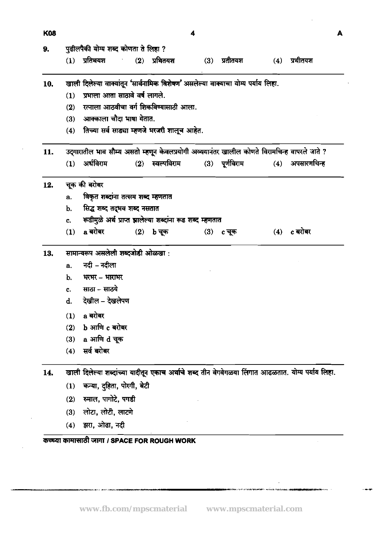| <b>K08</b> |                |                                                                                                    |     |                          | 4   |                |     |                   | A |
|------------|----------------|----------------------------------------------------------------------------------------------------|-----|--------------------------|-----|----------------|-----|-------------------|---|
| 9.         |                | पुढीलपैकी योग्य शब्द कोणता ते लिहा ?                                                               |     |                          |     |                |     |                   |   |
|            | (1)            | प्रतिथयश                                                                                           | (2) | प्रथितयश                 |     | $(3)$ प्रतीतयश | (4) | प्रथीतयश          |   |
| 10.        |                | खाली दिलेल्या वाक्यांतून 'सार्वनामिक विशेषण' असलेल्या वाक्याचा योग्य पर्याय लिहा.                  |     |                          |     |                |     |                   |   |
|            | (1)            | प्रभाला आता साठावे वर्ष लागले.                                                                     |     |                          |     |                |     |                   |   |
|            | (2)            | रत्नाला आठवीचा वर्ग शिकविण्यासाठी आला.                                                             |     |                          |     |                |     |                   |   |
|            | (3)            | आक्काला चौदा भाषा येतात.                                                                           |     |                          |     |                |     |                   |   |
|            | (4)            | तिच्या सर्व साड्या म्हणजे भरजरी शालूच आहेत.                                                        |     |                          |     |                |     |                   |   |
| 11.        |                | उद्गारातील भाव सौम्य असतो म्हणून केवलप्रयोगी अव्ययानंतर खालील कोणते विरामचिन्ह वापरले जाते ?       |     |                          |     |                |     |                   |   |
|            | (1)            | अर्धविराम                                                                                          |     | (2) स्वल्पविराम          |     | (3) पूर्णविराम |     | $(4)$ अपसारणचिन्ह |   |
| 12.        |                | चूक की बरोबर                                                                                       |     |                          |     |                |     |                   |   |
|            | a.             | विकृत शब्दांना तत्सम शब्द म्हणतात                                                                  |     |                          |     |                |     |                   |   |
|            | b.             | सिद्ध शब्द तद्भव शब्द नसतात                                                                        |     |                          |     |                |     |                   |   |
|            | c.             | रूढीमुळे अर्थ प्राप्त झालेल्या शब्दांना रूढ शब्द म्हणतात                                           |     |                          |     |                |     |                   |   |
|            | (1)            | a बरोबर                                                                                            |     | $(2)$ $b \overline{q}$ क | (3) | c चूक          | (4) | c बरोबर           |   |
| 13.        |                | सामान्यरूप असलेली शब्दजोडी ओळखा:                                                                   |     |                          |     |                |     |                   |   |
|            | a.             | नदी – नदीला                                                                                        |     |                          |     |                |     |                   |   |
|            | b.             | भरभर – भाराभर                                                                                      |     |                          |     |                |     |                   |   |
|            | $\mathbf{c}$ . | साठा – साठये                                                                                       |     |                          |     |                |     |                   |   |
|            | d.             | देखील – देखलेपण                                                                                    |     |                          |     |                |     |                   |   |
|            |                | $(1)$ a बरोबर                                                                                      |     |                          |     |                |     |                   |   |
|            | (2)            | b आणि c बरोबर                                                                                      |     |                          |     |                |     |                   |   |
|            | (3)            | a आणि d चूक                                                                                        |     |                          |     |                |     |                   |   |
|            | (4)            | सर्व बरोबर                                                                                         |     |                          |     |                |     |                   |   |
| 14.        |                | खाली दिलेल्या शब्दांच्या यादीतून एकाच अर्थाचे शब्द तीन वेगवेगळया लिंगात आढळतात. योग्य पर्याय लिहा. |     |                          |     |                |     |                   |   |
|            | (1)            | कन्या, दुहिता, पोरगी, बेटी                                                                         |     |                          |     |                |     |                   |   |
|            | (2)            | रुमाल, पागोटे, पगडी                                                                                |     |                          |     |                |     |                   |   |
|            | (3)            | लोटा, लोटी, लाटणे                                                                                  |     |                          |     |                |     |                   |   |
|            | (4)            | झरा, ओढा, नदी                                                                                      |     |                          |     |                |     |                   |   |

l,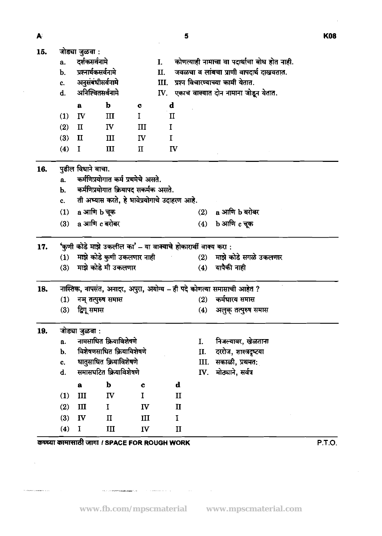A.

| 15. |                | जोड्या जुळवा :      |                                                                |              |             |              |      |                                                                       |
|-----|----------------|---------------------|----------------------------------------------------------------|--------------|-------------|--------------|------|-----------------------------------------------------------------------|
|     | a.             | दर्शकसर्वनामे       |                                                                |              | I.          |              |      | कोणत्याही नामाचा वा पदार्थाचा बोध होत नाही.                           |
|     | b.             | प्रश्नार्थकसर्वनामे |                                                                |              | Ц.          |              |      | जवळचा व लांबचा प्राणी वापदार्थ दाखवतात.                               |
|     | c.             | अनुसंबंधीसर्वनामे   |                                                                |              | III.        |              |      | प्रश्न विचारण्याच्या कामी येतात.                                      |
|     | d.             | अनिश्चितसर्वनामे    |                                                                |              |             |              |      | IV. एकाच वाक्यात दोन नामाना जोडून येतात.                              |
|     |                | $\mathbf{a}$        | $\mathbf b$                                                    | $\mathbf c$  | d           |              |      |                                                                       |
|     | (1)            | IV                  | $\mathbf{m}$                                                   | $\mathbf I$  |             | $\mathbf{I}$ |      |                                                                       |
|     | (2)            | $\mathbf{I}$        | IV                                                             | Ш            | I           |              |      |                                                                       |
|     | (3)            | $\mathbf{I}$        | III                                                            | IV           | $\mathbf I$ |              |      |                                                                       |
|     | (4)            | $\bf{I}$            | Ш                                                              | П            |             | IV           |      |                                                                       |
| 16. |                | पुढील विधाने वाचा.  |                                                                |              |             |              |      |                                                                       |
|     | a.             |                     | कर्मणिप्रयोगात कर्म प्रथमेचे असते.                             |              |             |              |      |                                                                       |
|     | b.             |                     | कर्मणिप्रयोगात क्रियापद सकर्मक असते.                           |              |             |              |      |                                                                       |
|     | $\mathbf{c}$ . |                     | ती अभ्यास करते, हे भावेप्रयोगाचे उदाहरण आहे.                   |              |             |              |      |                                                                       |
|     | (1)            | a आणि b चूक         |                                                                |              |             |              | (2)  | a आणि b बरोबर                                                         |
|     | (3)            | a आणि c बरोबर       |                                                                |              |             |              | (4)  | b आणि c चूक                                                           |
| 17. |                |                     | 'कुणी कोडे माझे उकलील का' – या वाक्याचे होकारार्थी वाक्य करा : |              |             |              |      |                                                                       |
|     | (1)            |                     | माझे कोडे कुणी उकलणार नाही                                     |              |             |              | (2)  | माझे कोडे सगळे उकलणार                                                 |
|     | (3)            |                     | माझे कोडे मी उकलणार                                            |              |             |              | (4)  | यापैकी नाही                                                           |
| 18. |                |                     |                                                                |              |             |              |      | नास्तिक, नापसंत, अनादर, अपुरा, अयोग्य – ही पदे कोणत्या समासाची आहेत ? |
|     | (1)            | नञ् तत्पुरुष समास   |                                                                |              |             |              | (2)  | कर्मधारय समास                                                         |
|     | (3)            | द्विगू समास         |                                                                |              |             |              | (4)  | अलुक् तत्पुरुष समास                                                   |
| 19. |                | जोड्या जुळवा :      |                                                                |              |             |              |      |                                                                       |
|     | a.             |                     | नामसाधित क्रियाविशेषणे                                         |              |             |              | I.   | निजल्यावर, खेळताना                                                    |
|     | b.             |                     | विशेषणसाधित क्रियाविशेषणे                                      |              |             |              | II.  | दररोज, शास्त्रदृष्टया                                                 |
|     | C.             |                     | धातुसाधित क्रियाविशेषणे                                        |              |             |              | III. | सकाळी, प्रथमत:                                                        |
|     | d.             |                     | समासघटित क्रियाविशेषणे                                         |              |             |              | IV.  | मोठ्याने, सर्वत्र                                                     |
|     |                | $\mathbf a$         | $\mathbf b$                                                    | $\mathbf c$  |             | $\mathbf d$  |      |                                                                       |
|     | (1)            | III                 | IV                                                             | $\mathbf I$  |             | $\mathbf{I}$ |      |                                                                       |
|     | (2)            | Ш                   | $\mathbf I$                                                    | $\mathbf{I}$ |             | $\mathbf{I}$ |      |                                                                       |
|     | (3)            | IV                  | $\mathbf{I}$                                                   | III          |             | I            |      |                                                                       |
|     | (4)            | I                   | $\mathbf{III}$                                                 | $\mathbf{I}$ |             | $\mathbf{I}$ |      |                                                                       |

कच्च्या कामासाठी जागा / SPACE FOR ROUGH WORK

 $\label{eq:1} \mathcal{M}(\mathbf{w}_i) = \mathcal{M} = \frac{1}{2} \mathcal{M} \frac{\text{argmax}_{\mathbf{w}_i} \mathbf{w}_i \mathbf{w}_i \mathbf{w}_i}{\text{argmax}_{\mathbf{w}_i} \mathbf{w}_i \mathbf{w}_i} \mathbf{w}_i \mathbf{w}_i \mathbf{w}_i \mathbf{w}_i \mathbf{w}_i \mathbf{w}_i \mathbf{w}_i \mathbf{w}_i \mathbf{w}_i \mathbf{w}_i \mathbf{w}_i \mathbf{w}_i \mathbf{w}_i \mathbf{w}_i \mathbf{w}_i \mathbf{w}_$ 

 $\mathcal{L}^{(1)}$ 

 $\hat{\sigma}$  or<br>futured making a  $\hat{\sigma}$  or

 $PT.O.$ 

 $\sim 10^{11}$ 

 $\sim 10$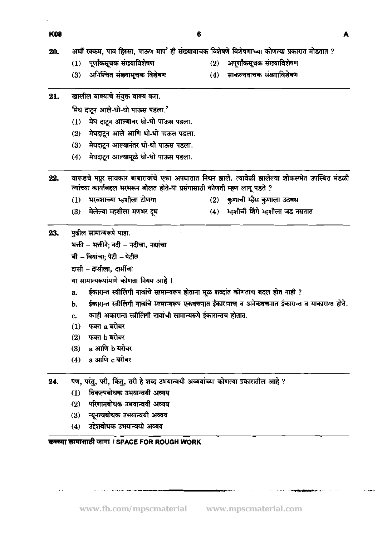- अर्धी रक्कम, पाव हिस्सा, पाऊण माप' ही संख्यावाचक विशेषणे विशेषणाच्या कोणत्या प्रकारात मोडतात ? 20.
	- पूर्णांकसूचक संख्याविशेषण  $(1)$
- अपूर्णांकसूचक संख्याविशेषण  $(2)$
- अनिश्चित संख्यासचक विशेषण  $(3)$
- साकल्यवाचक संख्याविशेषण  $(4)$
- 21. खालील वाक्याचे संयुक्त वाक्य करा.

'मेघ दाटन आले-धो-धो पाऊस पडला.'

- मेघ दाटून आल्यावर धो-धो पाऊस पडला.  $(1)$
- मेघदाटून आले आणि धो-धो पाऊस पडला.  $(2)$
- मेघदाटन आल्यानंतर धो-धो पाऊस पडला.  $(3)$
- मेघदाटून आल्यामूळे धो-धो पाऊस पडला.  $(4)$
- वारूडचे मग्नूर सावकार बाबारावांचे एका अपघातात निधन झाले. त्यावेळी झालेल्या शोकसभेत उपस्थित मंडळी 22. त्यांच्या कार्याबद्दल भरभरून बोलत होते-या प्रसंगासाठी कोणती म्हण लागू पडते ?
	- भरवशाच्या म्हशीला टोणगा  $(1)$
	- मेलेल्या म्हशीला मणभर दध  $(3)$
- (2) कृणाची म्हैस कृणाला उठबस
- (4) म्हशीची शिंगे म्हशीला जड नसतात

#### पुढील सामान्यरूपे पाहा. 23.

- भक्ती भक्तीने; नदी नदीचा, नद्यांचा
- बी बियांचा; पेटी पेटीत
- दासी दासीला. दार्सीचा
- या सामान्यरूपांमागे कोणता नियम आहे ।
- ईकारान्त स्त्रीलिंगी नावांचे सामान्यरूप होताना मूळ शब्दांत कोणताच बदल होत नाही ? a.
- ईकारान्त स्त्रीलिंगी नावांचे सामान्यरूप एकवचनात ईकारानाच व अनेकवचनात ईकारान्त व याकारान्त होते.  $\mathbf{b}$ .
- काही अकारान्त स्त्रीलिंगी नावांची सामान्यरूपे ईकारान्तच होतात. c.
- फक्त a बरोबर  $(1)$
- $(2)$ फक्त b बरोबर
- a आणि b बरोबर  $(3)$
- a आणि c बरोबर  $(4)$
- पण, परंतु, परी, किंतु, तरी हे शब्द उभयान्वयी अव्ययांच्या कोणत्या प्रकारातील आहे ? 24.
	- (1) विकल्पबोधक उभयान्वयी अव्यय
	- (2) परिणामबोधक उभयान्वयी अव्यय
	- न्यूनत्वबोधक उभयान्वयी अव्यय  $(3)$
	- उद्देशबोधक उभयान्वयी अव्यय  $(4)$

# कच्च्या कामासाठी जागा / SPACE FOR ROUGH WORK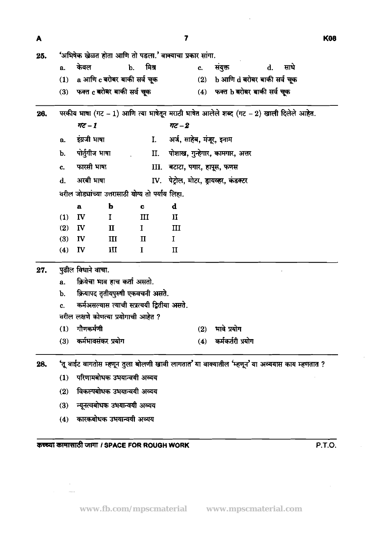$\hat{\mathcal{L}}$ 

| 25. |                |                    | 'अभिषेक खेळत होता आणि तो पडला.' वाक्याचा प्रकार सांगा. |                |                              |     |                                       |    |                                                                                               |
|-----|----------------|--------------------|--------------------------------------------------------|----------------|------------------------------|-----|---------------------------------------|----|-----------------------------------------------------------------------------------------------|
|     | a.             | केवल               | b.                                                     | मिश्र          |                              | c.  | संयुक्त                               | d. | साधे                                                                                          |
|     | (1)            |                    | a आणि c बरोबर बाकी सर्व चूक                            |                |                              | (2) | b आणि d बरोबर बाकी सर्व चूक           |    |                                                                                               |
|     | (3)            |                    | फक्त c बरोबर बाकी सर्व चूक                             |                |                              |     | (4) फक्त b बरोबर बाकी सर्व चूक        |    |                                                                                               |
| 26. |                |                    |                                                        |                |                              |     |                                       |    | परकीय भाषा (गट - 1) आणि त्या भाषेतून मराठी भाषेत आलेले शब्द (गट - 2) खाली दिलेले आहेत.        |
|     |                | $\pi z - 1$        |                                                        |                | $\overline{47} - 2$          |     |                                       |    |                                                                                               |
|     | a.             | इंग्रजी भाषा       |                                                        | $\mathbf{I}$ . | अर्ज, साहेब, मंजूर, इनाम     |     |                                       |    |                                                                                               |
|     | b.             | पोर्तुगीज भाषा     |                                                        |                |                              |     | II. पोशाख, गुन्हेगार, कामगार, अत्तर   |    |                                                                                               |
|     | c.             | फारसी भाषा         |                                                        |                | III. बटाटा, पगार, हापूस, फणस |     |                                       |    |                                                                                               |
|     | $\mathbf{d}$ . | अरबी भाषा          |                                                        |                |                              |     | IV. पेट्रोल, मोटर, ड्रायव्हर, कंडक्टर |    |                                                                                               |
|     |                |                    | वरील जोड्यांच्या उत्तरासाठी योग्य तो पर्याय लिहा.      |                |                              |     |                                       |    |                                                                                               |
|     |                | $\mathbf{a}$       | b                                                      | $\mathbf c$    | $\mathbf d$                  |     |                                       |    |                                                                                               |
|     | (1)            | <b>IV</b>          | Ι.                                                     | III            | $\mathbf{I}$                 |     |                                       |    |                                                                                               |
|     | (2)            | $\mathbf{I}$       | П                                                      | $\mathbf I$    | Ш                            |     |                                       |    |                                                                                               |
|     | (3)            | IV                 | $\mathbf{III}$                                         | $\mathbf{I}$   | $\bf{I}$                     |     |                                       |    |                                                                                               |
|     | (4)            | IV                 | $\mathbf{III}$                                         | $\bf{I}$       | $\mathbf{I}$                 |     |                                       |    |                                                                                               |
| 27. |                | पुढील विधाने वाचा. |                                                        | $\epsilon$     |                              |     |                                       |    |                                                                                               |
|     | a.             |                    | क्रियेचा भाव हाच कर्ता असतो.                           |                |                              |     |                                       |    |                                                                                               |
|     | b.             |                    | क्रियापद तृतीयपुरुषी एकवचनी असते.                      |                |                              |     |                                       |    |                                                                                               |
|     | c.             |                    | कर्मअसल्यास त्याची सप्रत्ययी द्वितीया असते.            |                |                              |     |                                       |    |                                                                                               |
|     |                |                    | वरील लक्षणे कोणत्या प्रयोगाची आहेत ?                   |                |                              |     |                                       |    |                                                                                               |
|     |                | $(1)$ गौणकर्मणी    |                                                        |                |                              | (2) | भावे प्रयोग                           |    |                                                                                               |
|     | (3)            | कर्मभावसंकर प्रयोग |                                                        |                |                              | (4) | कर्मकर्तरी प्रयोग                     |    |                                                                                               |
| 28. |                |                    |                                                        |                |                              |     |                                       |    | 'तू वाईट वागतोस म्हणून तुला बोलणी खावी लागतात' या वाक्यातील 'म्हणून' या अव्ययास काय म्हणतात ? |
|     | (1)            |                    | परिणामबोधक उभयान्वयी अव्यय                             |                |                              |     |                                       |    |                                                                                               |
|     | (2)            |                    | विकल्पबोधक उभयान्वयी अव्यय                             |                |                              |     |                                       |    |                                                                                               |

 $\overline{7}$ 

- (3) न्यूनत्वबोधक उभयान्वयी अव्यय
- (4) कारकबोधक उभयान्वयी अव्यय

i3lWd GiFll **I SPACE FOR ROUGH WORK P.T.O.** 

 $\bar{\tau}$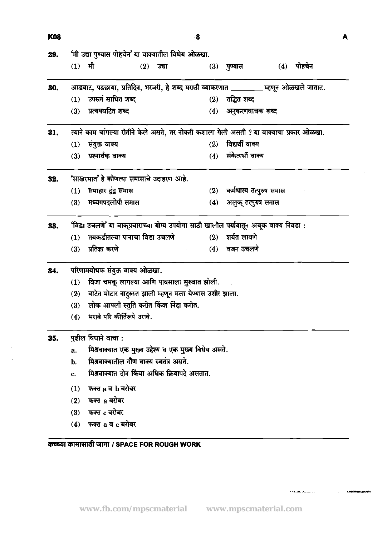| <b>K08</b> |          |                                                                                           |       | 8   |                        |              | A |
|------------|----------|-------------------------------------------------------------------------------------------|-------|-----|------------------------|--------------|---|
| 29.        |          | 'मी उद्या पुण्यास पोहचेन' या वाक्यातील विधेय ओळखा.                                        |       |     |                        |              |   |
|            | $(1)$ मी | (2)                                                                                       | उद्या |     | (3) पुण्यास            | $(4)$ पोहचेन |   |
| 30.        |          | आडवाट, पडछाया, प्रतिदिन, भरजरी, हे शब्द मराठी व्याकरणात ________ म्हणून ओळखले जातात.      |       |     |                        |              |   |
|            | (1)      | उपसर्ग साधित शब्द                                                                         |       |     | $(2)$ तद्भित शब्द      |              |   |
|            | (3)      | प्रत्ययघटित शब्द                                                                          |       | (4) | अनुकरणवाचक शब्द        |              |   |
| 31.        |          | त्याने काम चांगल्या रीतीने केले असते, तर नोकरी कशाला गेली असती ? या वाक्याचा प्रकार ओळखा. |       |     |                        |              |   |
|            | (1)      | संयुक्त वाक्य                                                                             |       | (2) | विद्यर्थी वाक्य        |              |   |
|            | (3)      | प्रश्नार्थक वाक्य                                                                         |       | (4) | संकेतार्थी वाक्य       |              |   |
| 32.        |          | 'साखरभात' हे कोणत्या समासाचे उदाहरण आहे.                                                  |       |     |                        |              |   |
|            |          | $(1)$ समाहार टूंट्स समास                                                                  |       | (2) | कर्मधारय तत्पुरुष समास |              |   |
|            |          | (3) मध्यमपदलोपी समास                                                                      |       | (4) | अलुक् तत्पुरुष समास    |              |   |
| 33.        |          | 'विडा उचलणे' या वाक्प्रचाराच्या योग्य उपयोगा साठी खालील पर्यायातून अचूक वाक्य निवडा :     |       |     |                        |              |   |
|            | (1)      | तबकडीतल्या पानाचा विडा उचलणे                                                              |       |     | $(2)$ शर्यत लावणे      |              |   |
|            | (3)      | प्रतिज्ञा करणे                                                                            |       | (4) | वजन उचलणे              |              |   |
| 34.        |          | परिणामबोधक संयुक्त वाक्य ओळखा.                                                            |       |     |                        |              |   |
|            | (1)      | विजा चमकू लागल्या आणि पावसाला सुरुवात झोली.                                               |       |     |                        |              |   |
|            | (2)      | वाटेत मोटार नादुरुस्त झाली म्हणून मला येण्यास उशीर झाला.                                  |       |     |                        |              |   |
|            | (3)      | लोक आपली स्तुति करोत किंवा निंदा करोत.                                                    |       |     |                        |              |   |
|            |          | (4) भरावे परि कीर्तिरूपे उरावे.                                                           |       |     |                        |              |   |
| 35.        |          | पुढील विधाने वाचा:                                                                        |       |     |                        |              |   |
|            | a.       | मिश्रवाक्यात एक मुख्य उद्देश्य व एक मुख्य विधेय असते.                                     |       |     |                        |              |   |
|            | b.       | मिश्रवाक्यातील गौण वाक्य स्वतंत्र असते.                                                   |       |     |                        |              |   |
|            | c.       | मिश्रवाक्यात दोन किंवा अधिक क्रियापदे असतात.                                              |       |     |                        |              |   |
|            | (1)      | फक्त a व b बरोबर                                                                          |       |     |                        |              |   |
|            | (2)      | फक्त a बरोबर                                                                              |       |     |                        |              |   |
|            | (3)      | फक्त c बरोबर                                                                              |       |     |                        |              |   |
|            | (4)      | फक्त a व c बरोबर                                                                          |       |     |                        |              |   |
|            |          |                                                                                           |       |     |                        |              |   |

 $\mathcal{L}_{\mathcal{L}}$ 

 $\label{eq:reduced} \begin{minipage}{0.5\textwidth} \centering \begin{minipage}{0.5\textwidth} \centering \end{minipage} \begin{minipage}{0.5\textwidth} \centering \begin{minipage}{0.5\textwidth} \centering \end{minipage} \begin{minipage}{0.5\textwidth} \centering \end{minipage} \begin{minipage}{0.5\textwidth} \centering \end{minipage} \begin{minipage}{0.5\textwidth} \centering \end{minipage} \begin{minipage}{0.5\textwidth} \centering \end{minipage} \begin{minipage}{0.5\textwidth} \centering \end{minipage} \begin{minipage}{0.5$ 

 $\hat{f}$  , where the main  $\hat{f}$  is an<br>interesting to  $\hat{f}$  . The definition of<br>  $\hat{f}$  , we have the main  $\hat{f}$ 

कच्च्या कामासाठी जागा। SPACE FOR ROUGH WORK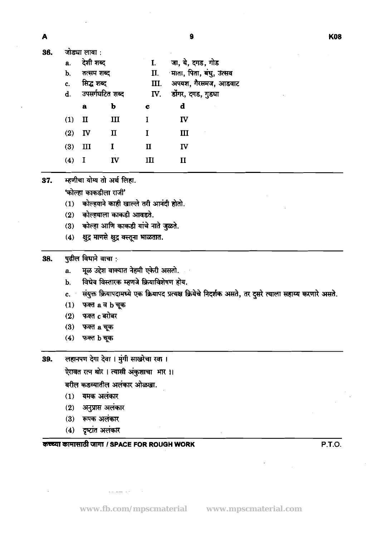36.

|      | णाञ्चा सापा .   |              |              |                             |
|------|-----------------|--------------|--------------|-----------------------------|
| a.   | देशी शब्द       |              | $\mathbf{I}$ | जा, ये, दगड, गोड            |
| b.   | तत्सम शब्द      |              |              | II. माता, पिता, बंधु, उत्सव |
| c.   | सिद्ध शब्द      |              | III.         | अपयश, गैरसमज, आडवाट         |
| d.   | उपसर्गघटित शब्द |              | IV.          | डोंगर, दगड, गुडघा           |
|      | a               | b            | c            | d                           |
| (1)  | $\mathbf{I}$    | Ш            | L            | $\mathbf{I}$                |
| (2)  | $\mathbf{I}$    | $\mathbf{I}$ |              | Ш                           |
| (3)  | Ш               |              | $\mathbf{I}$ | IV                          |
| 74 Y |                 | πт           | ттт          | TT                          |

म्हणीचा योग्य तो अर्थ लिहा. 37.

'कोल्हा काकडीला राजी'

- कोल्हयाने काही खाल्ले तरी आनंदी होतो.  $(1)$
- $(2)$ कोल्हयाला काकडी आवडते.
- कोल्हा आणि काकडी यांचे नाते जुळते.  $(3)$
- क्षुद्र माणसे क्षुद्र वस्तूना भाळतात.  $(4)$

#### पुढील विधाने वाचा : 38.

- मूळ उद्देश वाक्यात नेहमी एकेरी असतो. a.
- विधेय विस्तारक म्हणजे क्रियाविशेषण होय. b.
- संयुक्त क्रियापदामध्ये एक क्रियापद प्रत्यक्ष क्रियेचे निदर्शक असते, तर दुसरे त्याला सहाय्य करणारे असते.  $\mathbf{c}$ .
- $(1)$  फक्त a व b चुक
- $(2)$ फक्त c बरोबर
- $(3)$ फक्त a चूक
- $(4)$ फक्त b चूक

लहानपण देगा देवा । मुंगी साखरेचा रवा । 39.

ऐरावत रत्न थोर। त्यासी अंकुशाचा मार।।

वरील कडव्यातील अलंकार ओळखा.

- $(1)$  यमक अलंकार
- $(2)$ अनुप्रास अलंकार
- (3) रूपक अलंकार
- (4) दृष्टांत अलंकार

# कच्च्या कामासाठी जागा / SPACE FOR ROUGH WORK

P.T.O.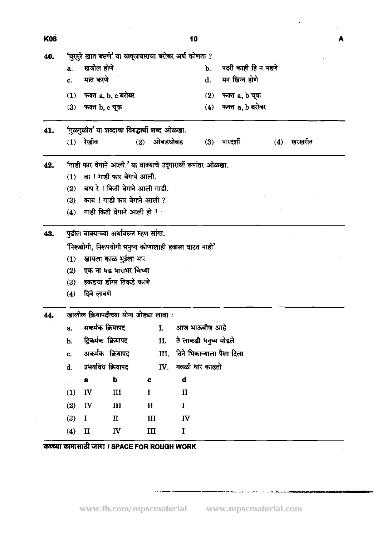| <b>K08</b> |     |                 |                                                              |              |                |              | 10                    |                           |     |        | A |
|------------|-----|-----------------|--------------------------------------------------------------|--------------|----------------|--------------|-----------------------|---------------------------|-----|--------|---|
| 40.        |     |                 | 'चुरमुरे खात बसणे' या वाक्प्रचाराचा बरोबर अर्थ कोणता ?       |              |                |              |                       |                           |     |        |   |
|            | a.  | खजील होणे       |                                                              |              |                |              | b.                    | पदरी काही हि न पडणे       |     |        |   |
|            | c.  | मात करणे        |                                                              |              |                |              | d.                    | मन खिन्न होणे             |     |        |   |
|            |     |                 | (1) फक्त a, b, c बरोबर                                       |              |                |              | (2)                   | फक्त a, b चूक             |     |        |   |
|            | (3) | फक्त b, c चूक   |                                                              |              |                |              | (4)                   | फक्त a, b बरोबर           |     |        |   |
| 41.        |     |                 | 'गुळगुळीत' या शब्दाचा विरुद्धार्थी शब्द ओळखा.                |              |                |              |                       |                           |     |        |   |
|            |     | $(1)$ रेखीव     |                                                              | (2)          | ओबडधोबड        |              |                       | $(3)$ पारदर्शी            | (4) | खरखरीत |   |
| 42.        |     |                 | 'गाडी फार वेगाने आली.' या वाक्याचे उद्गारार्थी रूपांतर ओळखा. |              |                |              |                       |                           |     |        |   |
|            |     |                 | (1) वा ! गाडी फार वेगाने आली.                                |              |                |              |                       |                           |     |        |   |
|            |     |                 | (2) बाप रे ! किती वेगाने आली गाडी.                           |              |                |              |                       |                           |     |        |   |
|            | (3) |                 | काय ! गाडी फार वेगाने आली ?                                  |              |                |              |                       |                           |     |        |   |
|            | (4) |                 | गाडी किती वेगाने आली हो !                                    |              |                |              |                       |                           |     |        |   |
| 43.        |     |                 | पुढील वाक्याच्या अर्थावरून म्हण सांगा.                       |              |                |              |                       |                           |     |        |   |
|            |     |                 | 'निरूद्योगी, निरूपयोगी मनुष्य कोणालाही हवासा वाटत नाही'      |              |                |              |                       |                           |     |        |   |
|            | (1) |                 | खायला काळ भुईला भार                                          |              |                |              |                       |                           |     |        |   |
|            | (2) |                 | एक ना धड भाराभर चिंध्या                                      |              |                |              |                       |                           |     |        |   |
|            | (3) |                 | इकडचा डोंगर तिकडे करणे                                       |              |                |              |                       |                           |     |        |   |
|            | (4) | दिवे लावणे      |                                                              |              |                |              |                       |                           |     |        |   |
| 44         |     |                 | खालील क्रियापदीच्या योग्य जोड्या लावा :                      |              |                |              |                       |                           |     |        |   |
|            | a.  | सकर्मक क्रियापद |                                                              |              | $\mathbf{I}$ . |              | आज भाऊबीज आहे         |                           |     |        |   |
|            | b.  |                 | द्विकर्मक क्रियापद                                           |              | П.             |              | ते लाकडी धनुष्य मोडले |                           |     |        |   |
|            | c.  |                 | अकर्मक क्रियापद                                              |              | Ш.             |              |                       | तिने भिकाऱ्याला पैसा दिला |     |        |   |
|            | d.  |                 | उभयविध क्रियापद                                              |              | IV.            |              | गवळी धार काढतो        |                           |     |        |   |
|            |     | $\pmb{a}$       | $\mathbf b$                                                  | c            |                | $\mathbf d$  |                       |                           |     |        |   |
|            | (1) | IV              | $\mathbf{I}$                                                 | $\mathbf I$  |                | $\mathbf{I}$ |                       |                           |     |        |   |
|            | (2) | IV              | III                                                          | $\mathbf{I}$ |                | $\mathbf I$  |                       |                           |     |        |   |
|            | (3) | $\mathbf I$     | $\mathbf H$                                                  | III          |                | IV           |                       |                           |     |        |   |
|            | (4) | $\mathbf{\Pi}$  | IV                                                           | III          |                | I            |                       |                           |     |        |   |
|            |     |                 |                                                              |              |                |              |                       |                           |     |        |   |

 $\label{eq:2.1} \frac{1}{\sqrt{2}}\int_{\mathbb{R}^3}\frac{1}{\sqrt{2}}\left(\frac{1}{\sqrt{2}}\right)^2\frac{1}{\sqrt{2}}\left(\frac{1}{\sqrt{2}}\right)^2\frac{1}{\sqrt{2}}\left(\frac{1}{\sqrt{2}}\right)^2.$ 

 $\langle \cdot, \cdot \rangle$ 

कच्च्या कामांसाठी जागा / SPACE FOR ROUGH WORK

 $\mathcal{L}(\mathcal{A})$  .

 $\mathcal{L}^{\mathcal{L}}$ 

 $\mathcal{L}^{\pm}$ 

 $\mathcal{L}^{\text{max}}_{\text{max}}$  and  $\mathcal{L}^{\text{max}}_{\text{max}}$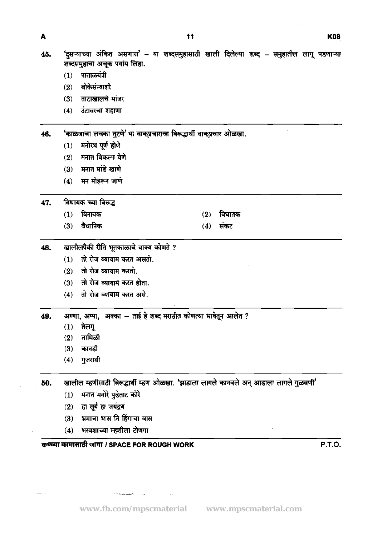$\ddot{\phantom{a}}$ 

| 45. | ेंदुसऱ्याच्या आंकत असणारा – यो शब्दसमुहासाठी खाली दिलल्या शब्द – समुहाताले लागू पडणाऱ्या |
|-----|------------------------------------------------------------------------------------------|
|     | शब्दसमुहाचा अचूक पर्याय लिहा.                                                            |
|     | $(1)$ पाताळयंत्री                                                                        |
|     | $(2)$ बोकेसंन्याशी                                                                       |

- ताटाखालचे मांजर  $(3)$
- $(4)$ उंटावरचा शहाणा

'काळजाचा लचका तुटणे' या वाक्प्रचाराचा विरूद्धार्थी वाक्प्रचार ओळखा. 46.

- (1) मनोरथ पूर्ण होणे
- $(2)$  मनात विकल्प येणे
- $(3)$  मनात मांडे खाणे
- (4) मन मोहरून जाणे

विधायक च्या विरूद्ध 47.

- $(1)$  विनायक
- वैधानिक  $(3)$
- विघातक  $(2)$
- संकट  $(4)$

#### खालीलपैकी रीति भूतकाळाचे वाक्य कोणते ? 48.

- (1) तो रोज व्यायाम करत असतो.
- $(2)$  तो रोज व्यायाम करतो.
- तो रोज व्यायाम करत होता.  $(3)$
- (4) तो रोज व्यायाम करत असे.

अण्णा, अप्पा, अक्का - ताई हे शब्द मराठीत कोणत्या भाषेतून आलेत ? 49.

- $(1)$ तेलगू
- तामिळी  $(2)$
- $(3)$ कानडी
- गुजराथी  $(4)$

खालील म्हणीसाठी विरूद्धार्थी म्हण ओळखा. 'झाडाला लागले कानवले अन् आडाला लागले गुळवणी' 50.

- मनात मनोरे पुढेताट कोरे  $(1)$
- $(2)$  हा सूर्य हा जयंद्रथ
- भ्रमाचा भास नि हिंगाचा वास  $(3)$
- भरवशाच्या म्हशीला टोणगा  $(4)$

## कच्च्या कामासाठी जागा / SPACE FOR ROUGH WORK

P.T.O.

A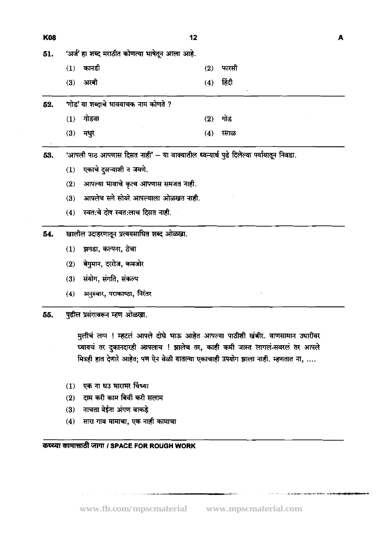| <b>K08</b> | 12                                             |     |                         | A |
|------------|------------------------------------------------|-----|-------------------------|---|
| 51.        | 'अर्ज' हा शब्द मराठीत कोणत्या भाषेतून आला आहे. |     |                         |   |
|            | कानडी<br>(1)                                   | (2) | फारसी                   |   |
|            | $(3)$ अरबी                                     | (4) | हिंदी<br>$\blacksquare$ |   |
| 52.        | 'गोड' या शब्दाचे भाववाचक नाम कोणते ?           |     |                         |   |
|            | गोडवा<br>(1)                                   | (2) | गोड                     |   |
|            | (3)<br>मधुर                                    | (4) | रसाळ                    |   |
|            |                                                |     |                         |   |

'आपली पाठ आपणास दिसत नाही' - या वाक्यातील ध्वन्यार्थ पुढे दिलेल्या पर्यायातून निवडा. 53.

- एकाचे दुसऱ्याशी न जमणे.  $(1)$
- आपल्या भावाचे कृत्य आपणास समजत नाही.  $(2)$
- आपलेच सगे सोयरे आपल्याला ओळखत नाही.  $(3)$
- स्वतःचे दोष स्वतःलाच दिसत नाही.  $(4)$

खालील उदाहरणातून प्रत्ययसाधित शब्द ओळखा. 54.

- (1) झगडा, कल्पना, ठेचा
- बेगुमान, दररोज, कमजोर  $(2)$
- सयोग, संगति, संकल्प  $(3)$
- $(4)$ अनुस्वार, पराकाष्ठा, निरंतर

पुढील प्रसंगावरून म्हण ओळखा. 55.

> मुलीचं लग्न ! म्हटलं आपले दोघे भाऊ आहेत आपल्या पाठीशी खंबीर. वाणसामान उधारीवर घ्यायचं तर दुकानदारही आपलाच ! झालेच तर, काही कमी जास्त लागलं-सवरलं तर आपले मित्रही हात देणारे आहेत; पण ऐन वेळी यातल्या एकाचाही उपयोग झाला नाही. म्हणतात ना, ....

- (1) एक ना धउ भाराभर चिंध्या
- दाम करी काम बिवी करी सलाम  $(2)$
- नाचता येईना अंगण वाकड़े  $(3)$
- सारा गाव मामाचा, एक नाही कामाचा  $(4)$

कच्च्या कामासाठी जागा / SPACE FOR ROUGH WORK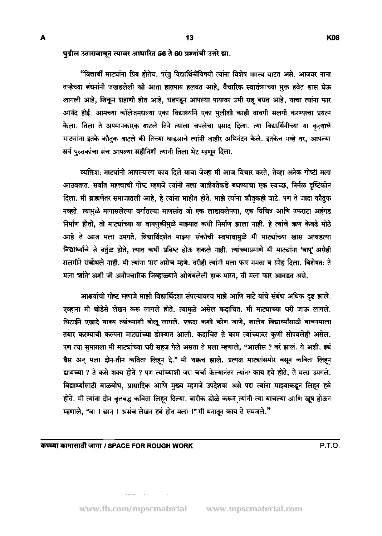### पुढील उतारावाचून त्यावर आधारित 56 ते 60 प्रश्नांची उत्तरे द्या.

"विद्यार्थी माट्यांना प्रिय होतेच. परंतु विद्यार्थिनींविषयी त्यांना विशेष ममत्व वाटत असे. आजवर नाना तऱ्हेच्या बंधनांनी जखडलेली स्त्री आता हातपाय हलवत आहे, वैचारिक स्वातंत्र्याच्या मुक्त हवेत श्वास घेऊ लागली आहे, शिकून शहाणी होत आहे, धडपडून आपल्या पायावर उभी राह बघत आहे, याचा त्यांना फार आनंद होई. आमच्या कॉलेजमधल्या एका विद्यार्थ्याने एका मुलीशी काही वावगी सलगी करण्याचा प्रयत्न केला. तिला ते अपमानकारक वाटले तिने त्याला चपलेचा प्रसाद दिला. त्या विद्यार्थिनीच्या या कृत्याचे माट्यांना इतके कौतुक वाटले की तिच्या धाडसाचे त्यांनी जाहीर अभिनंदन केले. इतकेच नव्हे तर, आपल्या सर्व पुस्तकांचा संच आपल्या सहीनिशी त्यांनी तिला भेट म्हणून दिला.

व्यक्तिश: माट्यांनी आपल्याला काय दिले याचा जेव्हा मी आज विचार करते, तेव्हा अनेक गोष्टी मला आठवतात. सर्वांत महत्त्वाची गोष्ट म्हणजे त्यांनी मला जातीयतेकडे बघण्याचा एक स्वच्छ, निर्मळ दृष्टिकोन दिला. मी ब्राह्मणेतर समाजातली आहे, हे त्यांना माहीत होते. माझे त्यांना कौतुकही वाटे. पण ते जादा कौतुक नव्हते. त्यामुळे मागासलेल्या वर्गातल्या माणसांत जो एक लाडावलेपणा, एक विचित्र आणि उफराटा अहंगड निर्माण होतो, तो माट्यांच्या या वागणुकीमुळे माझ्यात कधी निर्माण झाला नाही. हे त्यांचे ऋण केवढे मोठे आहे ते आज मला उमगते. विद्यार्थिदशेत माझ्या संकोची स्वभावामुळे मी माट्यांच्या खास आवडत्या विद्यार्थ्यांचे जे वर्तुळ होते, त्यात कथी प्रविष्ट होऊ शकले नाही. त्यांच्याप्रमाणे मी माट्यांना 'बापू' असेही सलगीने संबोधले नाही. मी त्यांना 'सर' असेच म्हणे. तरीही त्यांनी मला फार ममता व स्नेह दिला. विशेषत: ते मला 'शांते' अशी जी अनौपचारिक जिव्हाळ्याने ओथंबलेली हाक मारत, ती मला फार आवडत असे.

आश्चर्याची गोष्ट म्हणजे माझी विद्यार्थिदशा संपल्यावरच माझे आणि माटे यांचे संबंध अधिक दृढ झाले. एव्हाना मी थोडेसे लेखन करू लागले होते. त्यामुळे असेल कदाचित. मी माट्याच्या घरी जाऊ लागले. धिटाईने एखादे वाक्य त्यांच्याशी बोलू लागले. एकदा कशी कोण जाणे, शालेय विद्यार्थ्यांसाठी वाचनमाला तयार करण्याची कल्पना माट्यांच्या डोक्यात आली. कदाचित ते काम त्यांच्यावर कुणी सोपवलेही असेल. पण त्या सुमाराला मी माट्यांच्या घरी सहज गेले असता ते मला म्हणाले, "आलीस ? बरं झालं. ये अशी. इथं बैस अन् मला दोन-तीन कविता लिहन दे." मी थक्कच झाले. प्रत्यक्ष माट्यांसमोर बसून कविता लिहन द्यायच्या ? ते कसे शक्य होते ? पण त्यांच्याशी जरा चर्चा केल्यानंतर त्यांना काय हवे होते, ते मला उमगले. विद्यार्थ्यांसाठी बाळबोध, प्रासादिक आणि मुख्य म्हणजे उपदेशपर असे पद्य त्यांना माझ्याकडून लिहन हवे होते. मी त्यांना दोन वृत्तबद्ध कविता लिहन दिल्या. बारीक डोळे करून त्यांनी त्या बाचल्या आणि खूष होऊन म्हणाले, "वा ! छान ! असंच लेखन हवं होत मला !" मी मनातून काय ते समजले."

### कच्च्या कामासाठी जागा / SPACE FOR ROUGH WORK **International State of P.T.O.** P.T.O.

 $\bar{z}$ 

 $\hat{\mathbf{r}}$  , we consider a  $\hat{\mathbf{r}}$  ,  $\hat{\mathbf{r}}$  ,  $\hat{\mathbf{r}}$  ,  $\hat{\mathbf{r}}$  ,  $\hat{\mathbf{r}}$  ,  $\hat{\mathbf{r}}$  ,  $\hat{\mathbf{r}}$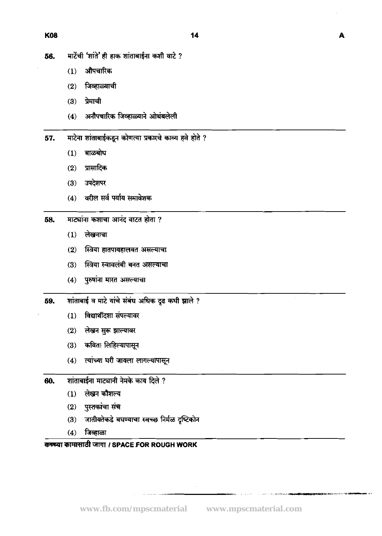A

- मार्टेची 'शांते' ही हाक शांताबाईना कशी वाटे ? 56.
	- औपचारिक  $(1)$
	- $(2)$  जिव्हाळ्याची
	- (3) प्रेमाची
	- (4) अनौपचारिक जिव्हाळ्याने ओथंबलेली
- माटेना शांताबाईकडून कोणत्या प्रकारचे काव्य हवे होते ? 57.
	- बाळबोध  $(1)$
	- $(2)$ प्रासादिक
	- उपदेशपर  $(3)$
	- (4) वरील सर्व पर्याय समावेशक
- माट्यांना कशाचा आनंद वाटत होता ? 58.
	- लेखनाचा  $(1)$
	- $(2)$ स्त्रिया हातपायहालवत असल्याचा
	- (3) स्त्रिया स्वावलंबी बनत असल्याचा
	- (4) पुरुषांना मारत असल्याचा
- शांताबाई व माटे यांचे संबंध अधिक दृढ कधी झाले ? 59.
	- (1) विद्यार्थीदशा संपल्यावर
	- (2) लेखन सुरू झाल्यावर
	- (3) कविता लिहिल्यापासून
	- (4) त्यांच्या घरी जायला लागल्यापासून
- शांताबाईना माट्यानी नेमके काय दिले ? 60.
	- लेखन कौशल्य  $(1)$
	- $(2)$  पुस्तकांचा संच
	- जातीयतेकडे बघण्याचा स्वच्छ निर्मळ दृष्टिकोन  $(3)$
	- $(4)$  जिव्हाळा

# कच्च्या कामासाठी जागा / SPACE FOR ROUGH WORK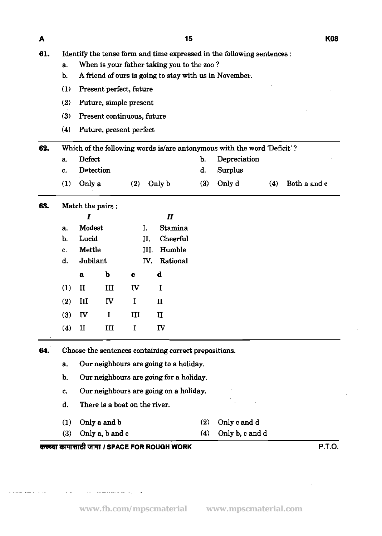$\blacktriangle$ 

- **61.** Identify the tense form and time expressed in the following sentences :
	- a. When is your father taking you to the zoo ?
	- b. A friend of ours is going to stay with **us** in November.
	- (1) Present perfect, future
	- (2) Future, simple present
	- (3) Present continuous, future
	- (4) Future, present perfect

| 62. |                |           |              |      | Which of the following words is/are antonymous with the word Deficit'? |                    |
|-----|----------------|-----------|--------------|------|------------------------------------------------------------------------|--------------------|
|     | а.             | Defect    |              |      | b. Depreciation                                                        |                    |
|     | $\mathbf{c}$ . | Detection |              | d. I | Surplus                                                                |                    |
|     | (1)            | Only a    | $(2)$ Only b |      | $(3)$ Only d                                                           | $(4)$ Both a and c |

### 63. Match the pairs :

|     | I             |           |             | $\boldsymbol{\mathit{II}}$ |
|-----|---------------|-----------|-------------|----------------------------|
| a.  | Modest        |           | I.          | <b>Stamina</b>             |
| b.  | Lucid         |           | II.         | Cheerful                   |
| c.  | <b>Mettle</b> |           |             | Humble<br>III.             |
| d.  | Jubilant      |           | IV.         | Rational                   |
|     | $\mathbf a$   | þ         | $\mathbf c$ | d                          |
| (1) | п             | III       | <b>IV</b>   | I                          |
| (2) | III           | <b>IV</b> | $\bf{I}$    | $\mathbf{I}$               |
| (3) | IV            | I         | Ш           | $\mathbf{I}$               |
| (4) | п             | III       | I           | IV                         |

**64.** Choose the sentences containing correct prepositions.

- a. Our neighbours are going to a holiday.
- b. Our neighbours are going for a holiday.
- c. Our neighbours are going on a holiday.
- d. There is a boat on the river.
- 
- (1) Only a and b (2) Only c and d
- (3) Only a, b and c (4) Only b, c and d
- 

**UWRd** CllW **I SPACE FOR ROUGH WORK P.T.O.**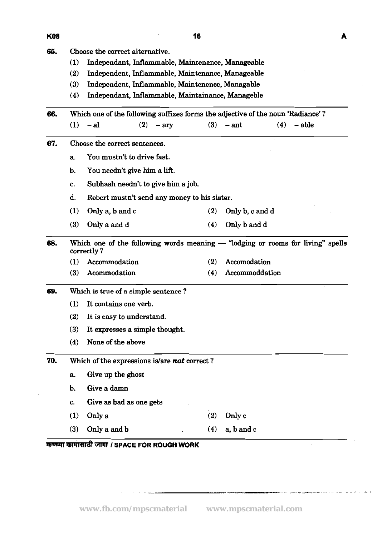- **66.** Choose the correct alternative.
	- **(1)** Independant, Inflammable, Maintenance, Manageable
	- **(2)** Independent, Inflammable, Maintenance, Manageable
	- **(3)** Independent, Inflammable, Maintenence, Managable
	- **(4)** Independant, Inflammable, Maintainance, Manageble

**66.** Which one of the following suffixes forms the adjective of the **noun** 'Radiance' ? (1)  $-$ al (2)  $-$ ary (3)  $-$ ant (4)  $-$ able 67. Choose the correct sentences. a. You mustn't to drive fast. b. You needn't give him a lift. **c.** Subhash needn't to give him a job. d. Robert mustn't send any money to **his** sister. **(1) Only** a, b andc **(2)** Only b, c and d **(3)** Onlyaandd **(4)** Onlybandd **68.** Which one of the following words meaning - "lodging or rooms for living" spells correctly ? **(1)** Accommodation **(2)** Accomodation **(3)** Acommodation **(4)** Accommoddation **69. Which** is true of a simple sentence **7 (1)** It contains one verb. **(2)** It is easy to understand. **(3)** It expresses a simple thought. **(4)** None of the above **70.** Which of the expressions **islare not correct** ? a. Give up the ghost b. Give a damn c. Give as bad as one gets **(1)** Onlya **(2)** Only c **(3)** Onlyaandb **(4)** a, b and c **VrmTtndt WW** *I* **SPACE FOR ROUGH WORK**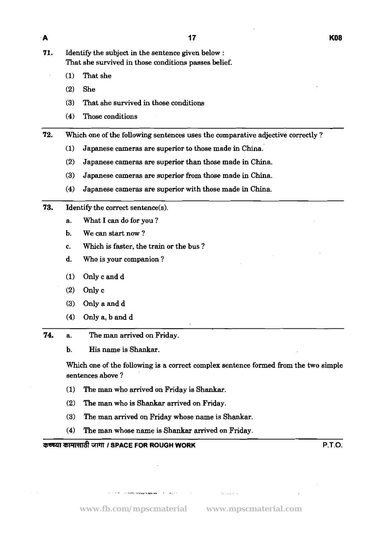**71.** Identify the subject in the sentence given below : That she survived in those conditions passes belief.

- (1) That she
- (2) She
- (3) That she survived in those conditions
- (4) Those conditions

**72.** Which one of the following sentences uses the comparative adjective correctly?

- (1) Japanese cameras are superior to those made in China.
- (2) Japanese cameras are superior than those made in China.
- (3) Japanese cameras are superior from those made in China.
- (4) Japanese cameras are superior with those made in China.
- 73. Identify the correct sentence(s).
	- a. What I can do for you ?
	- b. We can start now ?
	- c. Which is faster, the train or the bus ?
	- d. Who is your companion ?
	- (1) Only c and d
	- (2) Only c
	- (3) Only a and d
	- (4) Only a, b and d
- 74. a. The man arrived on Friday.

b. His name is Shankar.

Which one of the following is a correct complex sentence formed from the two simple sentences above ?

- (1) The man who arrived on Friday is Shankar.
- (2) The man who is Shankar arrived on Friday.
- (3) The man arrived on Friday whose name is Shankar.
- (4) The man whose name is Shankar arrived on Friday.

**Wi'4ld** 3Pll **I SPACE FOR ROUGH WORK P.T.O.** 

 $\label{eq:3} \mathcal{L}(\mathcal{L}) = \mathcal{L}(\mathcal{L}(\mathcal{H})) = \mathcal{L}(\mathcal{L}(\mathcal{H})) = \mathcal{L}(\mathcal{H}) = \mathcal{L}(\mathcal{H}) = \mathcal{L}(\mathcal{H}) = \mathcal{L}(\mathcal{H}) = \mathcal{L}(\mathcal{H}) = \mathcal{L}(\mathcal{H}) = \mathcal{L}(\mathcal{H}) = \mathcal{L}(\mathcal{H}) = \mathcal{L}(\mathcal{H}) = \mathcal{L}(\mathcal{H}) = \mathcal{L}(\mathcal{H}) = \mathcal{L}(\mathcal{H}) = \mathcal{L}$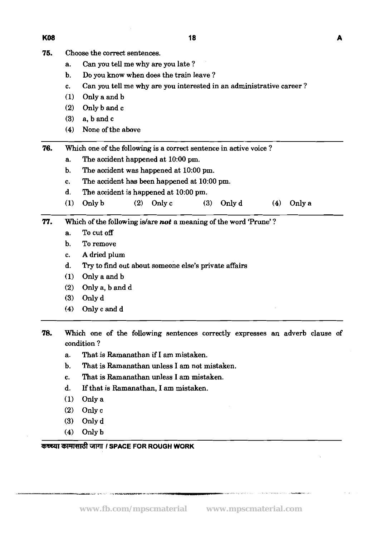- 75. Choose the correct sentences.
	- a. Can you tell me why are you late ?
	- b. Do you know when does the train leave ?
	- c. Can you tell me why are you interested in an administrative career ?

18

- **(1)** Only aandb
- **(2)** Only b and c
- **(3)** a, b and c
- **(4)** None of the above
- **76.** Which one of the following is a correct sentence in active voice ?
	- a. The accident happened at **10:OO** pm.
	- b. The accident was happened at **10:OO** pm.
	- c. The accident has been happened at **10:OO** pm.
	- d. The accident is happened at **10:OO** pm.
	- **(1)** Only b **(2)** Only c **(3)** Only d **(4)** Only a
- **77.** Which of the following **islare** not a meaning of the word 'Prune' ?
	- a. To cut off
	- b. To remove
	- c. A dried plum
	- d. Try to find out about someone else's private affairs
	- **(1)** Onlyaandb
	- **(2)** Only a, b and d
	- **(3)** Only d
	- **(4)** Onlycandd
- **78.** Which one of the following sentences correctly expresses an adverb clause of condition ?
	- a. That is Ramanathan if I am mistaken.
	- b. That is Ramanathan unless I am not mistaken.
	- c. That is Ramanathan unless I am mistaken.
	- d. If that is Ramanathan, I am mistaken.
	- **(1)** Only a
	- **(2)** only c
	- **(3)** Only d
	- **(4)** Only b

### *<sup>I</sup>***SPACE FOR ROUGH WORK**

#### **K08**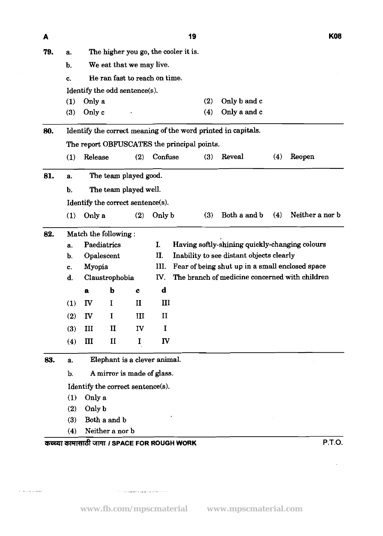| A   |                                     |                              |                                   |              |                | 19                                                            |                                                 |     | <b>K08</b>      |
|-----|-------------------------------------|------------------------------|-----------------------------------|--------------|----------------|---------------------------------------------------------------|-------------------------------------------------|-----|-----------------|
| 79. | a.                                  |                              |                                   |              |                | The higher you go, the cooler it is.                          |                                                 |     |                 |
|     | We eat that we may live.<br>b.      |                              |                                   |              |                |                                                               |                                                 |     |                 |
|     | He ran fast to reach on time.<br>C. |                              |                                   |              |                |                                                               |                                                 |     |                 |
|     |                                     |                              | Identify the odd sentence(s).     |              |                |                                                               |                                                 |     |                 |
|     | (1)                                 | Only a                       |                                   |              |                | (2)                                                           | Only b and c                                    |     |                 |
|     | (3)                                 | Only c                       |                                   |              |                | (4)                                                           | Only a and c                                    |     |                 |
| 80. |                                     |                              |                                   |              |                | Identify the correct meaning of the word printed in capitals. |                                                 |     |                 |
|     |                                     |                              |                                   |              |                | The report OBFUSCATES the principal points.                   |                                                 |     |                 |
|     | (1)                                 | Release                      |                                   | (2)          | Confuse        | (3)                                                           | Reveal                                          | (4) | Reopen          |
| 81. | a.                                  |                              | The team played good.             |              |                |                                                               |                                                 |     |                 |
|     | b.                                  |                              | The team played well.             |              |                |                                                               |                                                 |     |                 |
|     |                                     |                              | Identify the correct sentence(s). |              |                |                                                               |                                                 |     |                 |
|     | (1)                                 | Only a                       |                                   | (2)          | Only b         | (3)                                                           | Both a and b                                    | (4) | Neither a nor b |
| 82. |                                     |                              | Match the following:              |              |                |                                                               |                                                 |     |                 |
|     | а.                                  |                              | Paediatrics                       |              | $\mathbf{I}$ . |                                                               | Having softly-shining quickly-changing colours  |     |                 |
|     | b.                                  |                              | Opalescent                        |              | П.             |                                                               | Inability to see distant objects clearly        |     |                 |
|     | c.                                  | Myopia                       |                                   |              | III.           |                                                               | Fear of being shut up in a small enclosed space |     |                 |
|     | d.                                  | Claustrophobia               |                                   |              | IV.            |                                                               | The branch of medicine concerned with children  |     |                 |
|     |                                     | a                            | b                                 | $\mathbf c$  | $\mathbf d$    |                                                               |                                                 |     |                 |
|     | (1)                                 | IV                           | I                                 | $\mathbf{I}$ | Ш              |                                                               |                                                 |     |                 |
|     | (2)                                 | IV                           | I                                 | III          | $\mathbf{I}$   |                                                               |                                                 |     |                 |
|     | (3)                                 | III                          | $\mathbf{I}$                      | IV           | I              |                                                               |                                                 |     |                 |
|     | (4)                                 | Ш                            | $\mathbf{I}$                      | I            | IV             |                                                               |                                                 |     |                 |
| 83. | а.                                  | Elephant is a clever animal. |                                   |              |                |                                                               |                                                 |     |                 |
|     | b.                                  | A mirror is made of glass.   |                                   |              |                |                                                               |                                                 |     |                 |
|     |                                     |                              | Identify the correct sentence(s). |              |                |                                                               |                                                 |     |                 |
|     | (1)                                 | Only a                       |                                   |              |                |                                                               |                                                 |     |                 |
|     | (2)                                 | Only b                       |                                   |              |                |                                                               |                                                 |     |                 |
|     | (3)                                 |                              | Both a and b                      |              |                |                                                               |                                                 |     |                 |
|     | (4)                                 |                              | Neither a nor b                   |              |                |                                                               |                                                 |     |                 |

**www.fb.com/mpscmaterial www.mpscmaterial.com**

 $\hat{\mathcal{F}}^{(1)}$  . The sets mean ferrome scale as  $\hat{\mathcal{F}}$  is stables (  $\hat{\mathcal{F}}^{(1)}$  ) and (

 $\hat{\gamma}$  ) are equal to regions (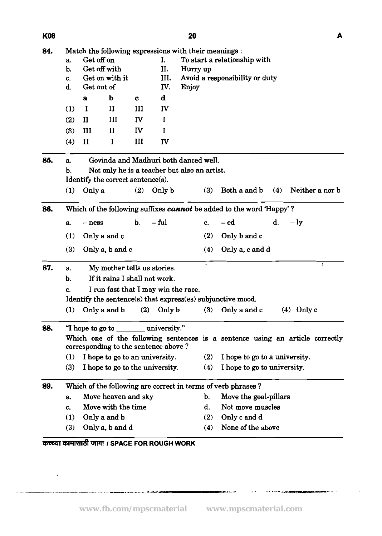$\sim 10^{-11}$ 

المواصل المستقبل المستقبل المستقبل المستقبل المستقبل المستقبل المستقبل المستقبل المستقبل المستقبل المستقبل

المسابق المساويات المتحدة المتحدة المسابقة

.<br>In the fact of the Northern Carl <sup>a</sup>nd of the composition of

| ۰,<br>۰, |  |
|----------|--|

| 84. |                                                                                                                       |                                   |                 |              | Match the following expressions with their meanings : |                              |                                |                               |     |                 |
|-----|-----------------------------------------------------------------------------------------------------------------------|-----------------------------------|-----------------|--------------|-------------------------------------------------------|------------------------------|--------------------------------|-------------------------------|-----|-----------------|
|     | I.<br>Get off on<br>a.                                                                                                |                                   |                 |              |                                                       | To start a relationship with |                                |                               |     |                 |
|     | b.                                                                                                                    | Get off with                      |                 |              | II.                                                   | Hurry up                     |                                |                               |     |                 |
|     | III.<br>Get on with it<br>c.                                                                                          |                                   |                 |              |                                                       |                              | Avoid a responsibility or duty |                               |     |                 |
|     | d.                                                                                                                    | Get out of                        |                 |              | IV.                                                   | Enjoy                        |                                |                               |     |                 |
|     |                                                                                                                       | а                                 | b               | c            | $\mathbf d$                                           |                              |                                |                               |     |                 |
|     | (1)                                                                                                                   | I                                 | $\mathbf{I}$    | III          | IV                                                    |                              |                                |                               |     |                 |
|     | (2)                                                                                                                   | $\mathbf{I}$                      | Ш               | <b>IV</b>    | I                                                     |                              |                                |                               |     |                 |
|     | (3)                                                                                                                   | III                               | $\mathbf{I}$    | $\mathbf{I}$ | I                                                     |                              |                                |                               |     |                 |
|     | (4)                                                                                                                   | $\mathbf{I}$                      | I               | $\mathbf{I}$ | IV                                                    |                              |                                |                               |     |                 |
| 85. | a.                                                                                                                    |                                   |                 |              | Govinda and Madhuri both danced well.                 |                              |                                |                               |     |                 |
|     | b.                                                                                                                    |                                   |                 |              | Not only he is a teacher but also an artist.          |                              |                                |                               |     |                 |
|     |                                                                                                                       | Identify the correct sentence(s). |                 |              |                                                       |                              |                                |                               |     |                 |
|     | (1)                                                                                                                   | Only a                            |                 | (2)          | Only b                                                |                              | (3)                            | Both a and b                  | (4) | Neither a nor b |
| 86. | Which of the following suffixes cannot be added to the word 'Happy'?                                                  |                                   |                 |              |                                                       |                              |                                |                               |     |                 |
|     | а.                                                                                                                    | $-$ ness                          |                 | b.           | – ful                                                 |                              | c.                             | – ed                          | d.  | $-1y$           |
|     | (1)                                                                                                                   |                                   | Only a and c    |              |                                                       |                              | (2)                            | Only b and c                  |     |                 |
|     | $(3)$ .                                                                                                               |                                   | Only a, b and c |              |                                                       |                              | (4)                            | Only a, c and d               |     |                 |
| 87. | a.                                                                                                                    |                                   |                 |              | My mother tells us stories.                           |                              | $\omega$                       |                               |     |                 |
|     | Ъ.                                                                                                                    |                                   |                 |              | If it rains I shall not work.                         |                              |                                |                               |     |                 |
|     | I run fast that I may win the race.<br>C.                                                                             |                                   |                 |              |                                                       |                              |                                |                               |     |                 |
|     | Identify the sentence(s) that express(es) subjunctive mood.                                                           |                                   |                 |              |                                                       |                              |                                |                               |     |                 |
|     | (1)                                                                                                                   |                                   | Only a and b    | (2)          | Only b                                                |                              | (3)                            | Only a and c                  |     | $(4)$ Only c    |
| 88. | university."<br>"I hope to go to                                                                                      |                                   |                 |              |                                                       |                              |                                |                               |     |                 |
|     | Which one of the following sentences is a sentence using an article correctly<br>corresponding to the sentence above? |                                   |                 |              |                                                       |                              |                                |                               |     |                 |
|     | (1)                                                                                                                   |                                   |                 |              | I hope to go to an university.                        |                              | (2)                            | I hope to go to a university. |     |                 |
|     | (3)<br>I hope to go to the university.                                                                                |                                   |                 |              |                                                       |                              |                                | I hope to go to university.   |     |                 |
| 89. | Which of the following are correct in terms of verb phrases?                                                          |                                   |                 |              |                                                       |                              |                                |                               |     |                 |
|     | Move heaven and sky<br>a.                                                                                             |                                   |                 |              |                                                       |                              |                                | Move the goal-pillars         |     |                 |
|     | Move with the time<br>c.                                                                                              |                                   |                 |              |                                                       |                              |                                | Not move muscles              |     |                 |
|     | Only a and b<br>(1)                                                                                                   |                                   |                 |              |                                                       |                              | (2)                            | Only c and d                  |     |                 |
|     | (3)                                                                                                                   |                                   | Only a, b and d |              |                                                       |                              | (4)                            | None of the above             |     |                 |
|     |                                                                                                                       |                                   |                 |              | कच्च्या कामासाठी जागा / SPACE FOR ROUGH WORK          |                              |                                |                               |     |                 |

- <sub>スペ</sub>レジー リストリー コンファンス<del>の人気を保**行されてい**ま</del>

.<br>Jesustants est

.<br>Si**bi©≱ikin**grundu mur

 $\bar{s}$  .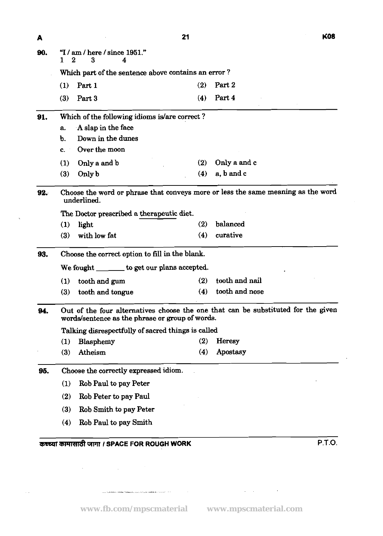| ٧<br>v |  |
|--------|--|

 $\ddot{\phantom{a}}$ 

|     | Which part of the sentence above contains an error?                                                                                  |                                                                                                 |     |                |  |  |  |  |  |
|-----|--------------------------------------------------------------------------------------------------------------------------------------|-------------------------------------------------------------------------------------------------|-----|----------------|--|--|--|--|--|
|     | (1)                                                                                                                                  | Part 1                                                                                          | (2) | Part 2         |  |  |  |  |  |
|     | (3)                                                                                                                                  | Part 3                                                                                          | (4) | Part 4         |  |  |  |  |  |
| 91. |                                                                                                                                      | Which of the following idioms is/are correct?                                                   |     |                |  |  |  |  |  |
|     | A slap in the face<br>a.                                                                                                             |                                                                                                 |     |                |  |  |  |  |  |
|     | b.                                                                                                                                   | Down in the dunes                                                                               |     |                |  |  |  |  |  |
|     | $\mathbf{c}$ .                                                                                                                       | Over the moon                                                                                   |     |                |  |  |  |  |  |
|     | (1)                                                                                                                                  | Only a and b                                                                                    | (2) | Only a and c   |  |  |  |  |  |
|     | (3)                                                                                                                                  | Only b                                                                                          | (4) | a, b and c     |  |  |  |  |  |
| 92. |                                                                                                                                      | Choose the word or phrase that conveys more or less the same meaning as the word<br>underlined. |     |                |  |  |  |  |  |
|     |                                                                                                                                      | The Doctor prescribed a therapeutic diet.                                                       |     |                |  |  |  |  |  |
|     | (1)                                                                                                                                  | light                                                                                           | (2) | balanced       |  |  |  |  |  |
|     | (3)                                                                                                                                  | with low fat                                                                                    | (4) | curative       |  |  |  |  |  |
| 93. | Choose the correct option to fill in the blank.                                                                                      |                                                                                                 |     |                |  |  |  |  |  |
|     | We fought _______ to get our plans accepted.                                                                                         |                                                                                                 |     |                |  |  |  |  |  |
|     | (1)                                                                                                                                  | tooth and gum                                                                                   | (2) | tooth and nail |  |  |  |  |  |
|     | (3)                                                                                                                                  | tooth and tongue                                                                                | (4) | tooth and nose |  |  |  |  |  |
| 94. | Out of the four alternatives choose the one that can be substituted for the given<br>words/sentence as the phrase or group of words. |                                                                                                 |     |                |  |  |  |  |  |
|     | Talking disrespectfully of sacred things is called                                                                                   |                                                                                                 |     |                |  |  |  |  |  |
|     | (1)                                                                                                                                  | Blasphemy                                                                                       | (2) | Heresy         |  |  |  |  |  |
|     | (3)                                                                                                                                  | Atheism                                                                                         | (4) | Apostasy       |  |  |  |  |  |
| 95. | Choose the correctly expressed idiom.                                                                                                |                                                                                                 |     |                |  |  |  |  |  |
|     | Rob Paul to pay Peter<br>(1)                                                                                                         |                                                                                                 |     |                |  |  |  |  |  |
|     | (2)                                                                                                                                  | Rob Peter to pay Paul                                                                           |     |                |  |  |  |  |  |
|     | (3)                                                                                                                                  | Rob Smith to pay Peter                                                                          |     |                |  |  |  |  |  |
|     | (4)                                                                                                                                  | Rob Paul to pay Smith                                                                           |     |                |  |  |  |  |  |
|     |                                                                                                                                      |                                                                                                 |     |                |  |  |  |  |  |

 $21$ 

 $\blacktriangle$ 

 $\lambda$ 

 $\sim 1$ 

.<br>المحمد المحمد المحمد المحمد المحمد المحمد المحمد المحمد المحمد المحمد المحمد المحمد المحمد المحمد المحمد المحم

 $\sim 10^7$ 

 $\mathcal{L}(\mathcal{L}^{\mathcal{L}}(\mathcal{L}^{\mathcal{L}}(\mathcal{L}^{\mathcal{L}}(\mathcal{L}^{\mathcal{L}}(\mathcal{L}^{\mathcal{L}}(\mathcal{L}^{\mathcal{L}}(\mathcal{L}^{\mathcal{L}}(\mathcal{L}^{\mathcal{L}}(\mathcal{L}^{\mathcal{L}}(\mathcal{L}^{\mathcal{L}}(\mathcal{L}^{\mathcal{L}}(\mathcal{L}^{\mathcal{L}}(\mathcal{L}^{\mathcal{L}}(\mathcal{L}^{\mathcal{L}}(\mathcal{L}^{\mathcal{L}}(\mathcal{L}^{\mathcal{L}}(\mathcal{L}$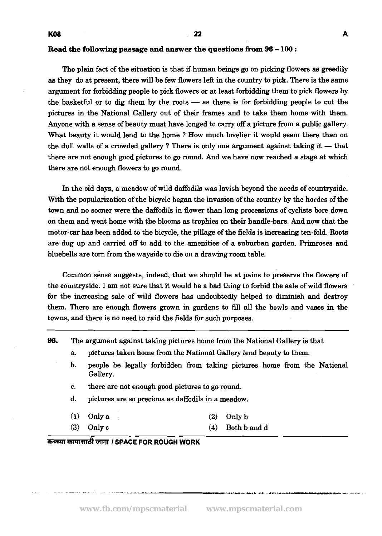#### **Read** *the following passage* **and** *answer the questions* **from 96** - **100** :

The plain fact of the situation is that if human beings go on picking flowers as greedily as they do at present, there will be few flowers left in the country to pick. There is the same argument for forbidding people to pick flowers or at least forbidding them to pick flowers by the basketful or to dig them by the roots  $-$  as there is for forbidding people to cut the pictures in the National Gallery out of their frames and to take them home with them. Anyone with a sense of beauty must have longed to carry off a picture from a public gallery. What beauty it would lend to the home ? How much lovelier it would seem there than on the dull walls of a crowded gallery? There is only one argument against taking it  $-$  that there are not enough good pictures to go round. And we have now reached a stage at which there are not enough flowers to go round.

In the old days, a meadow of wild daffodils was lavish beyond the needs of countryside. With the popularization of the bicycle began the invasion of the country by the hordes of the town and no sooner were the daffodils in flower than long processions of cyclists bore down on them and went home with the blooms **as** trophies on their handle-bars. And now that the motor-car has been added to the bicycle, the pillage of the fields is increasing ten-fold. Roots are dug up and carried off to add to the amenities of a suburban garden. Primroses and bluebells are tom from the wayside to die on a drawing room table.

Common sense suggests, indeed, that we should be at pains to preserve the flowers of the countryside. I am not sure that it would be a bad thing to forbid the sale of wild flowers for the increasing sale of wild flowers has undoubtedly helped to diminish and destroy them. There are enough flowers grown in gardens to fill all the bowls and vases in the towns, and there is no need to raid the fields for such purposes.

| 96. |                                                       | The argument against taking pictures home from the National Gallery is that                                                                               |     |              |  |  |  |  |  |  |
|-----|-------------------------------------------------------|-----------------------------------------------------------------------------------------------------------------------------------------------------------|-----|--------------|--|--|--|--|--|--|
|     | а.                                                    | pictures taken home from the National Gallery lend beauty to them.<br>people be legally forbidden from taking pictures home from the National<br>Gallery. |     |              |  |  |  |  |  |  |
|     | $\mathbf{b}$ .                                        |                                                                                                                                                           |     |              |  |  |  |  |  |  |
|     | there are not enough good pictures to go round.<br>c. |                                                                                                                                                           |     |              |  |  |  |  |  |  |
|     | d.                                                    | pictures are so precious as daffodils in a meadow.                                                                                                        |     |              |  |  |  |  |  |  |
|     | $\bf(1)$                                              | Only a                                                                                                                                                    | (2) | Only b       |  |  |  |  |  |  |
|     | (3)                                                   | Only c                                                                                                                                                    | (4) | Both b and d |  |  |  |  |  |  |
|     |                                                       | $\bullet$                                                                                                                                                 |     |              |  |  |  |  |  |  |

कच्च्या कामासाठी जागा *।* SPACE FOR ROUGH WORK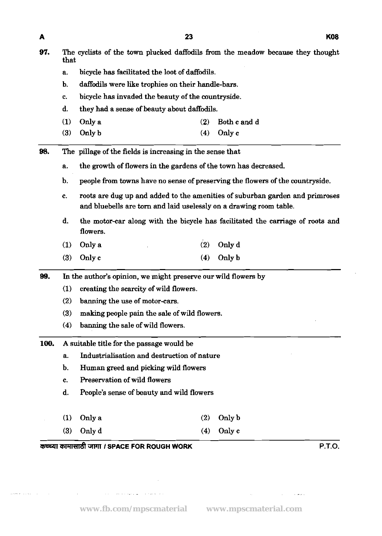وأرقابهم عيوان والأرابي والمتواطن والمتعاطف

 $\mathcal{L}$ 

**www.fb.com/mpscmaterial www.mpscmaterial.com**

 $\sim$ 

 $\label{eq:2.1} \frac{1}{\sqrt{2}}\int_{\mathbb{R}^3}\frac{1}{\sqrt{2}}\left(\frac{1}{\sqrt{2}}\right)^2\frac{1}{\sqrt{2}}\left(\frac{1}{\sqrt{2}}\right)^2\frac{1}{\sqrt{2}}\left(\frac{1}{\sqrt{2}}\right)^2.$ 

 $\sim$   $\omega$   $\omega$ 

| 97.  |                  | The cyclists of the town plucked daffodils from the meadow because they thought<br>that                                                            |     |                                                                               |  |  |  |  |  |  |
|------|------------------|----------------------------------------------------------------------------------------------------------------------------------------------------|-----|-------------------------------------------------------------------------------|--|--|--|--|--|--|
|      | а.               | bicycle has facilitated the loot of daffodils.                                                                                                     |     |                                                                               |  |  |  |  |  |  |
|      | Ъ.               | daffodils were like trophies on their handle-bars.                                                                                                 |     |                                                                               |  |  |  |  |  |  |
|      | c.               | bicycle has invaded the beauty of the countryside.                                                                                                 |     |                                                                               |  |  |  |  |  |  |
|      | d.               | they had a sense of beauty about daffodils.                                                                                                        |     |                                                                               |  |  |  |  |  |  |
|      | (1)              | Only a                                                                                                                                             | (2) | Both c and d                                                                  |  |  |  |  |  |  |
|      | (3)              | Only b                                                                                                                                             | (4) | Only c                                                                        |  |  |  |  |  |  |
| 98.  |                  | The pillage of the fields is increasing in the sense that                                                                                          |     |                                                                               |  |  |  |  |  |  |
|      | а.               | the growth of flowers in the gardens of the town has decreased.                                                                                    |     |                                                                               |  |  |  |  |  |  |
|      | b.               |                                                                                                                                                    |     | people from towns have no sense of preserving the flowers of the countryside. |  |  |  |  |  |  |
|      | c.               | roots are dug up and added to the amenities of suburban garden and primroses<br>and bluebells are torn and laid uselessly on a drawing room table. |     |                                                                               |  |  |  |  |  |  |
|      | d.               | the motor-car along with the bicycle has facilitated the carriage of roots and<br>flowers.                                                         |     |                                                                               |  |  |  |  |  |  |
|      | (1)              | Only a                                                                                                                                             | (2) | Only d                                                                        |  |  |  |  |  |  |
|      | (3)              | Only c                                                                                                                                             | (4) | Only b                                                                        |  |  |  |  |  |  |
| 99.  |                  | In the author's opinion, we might preserve our wild flowers by                                                                                     |     |                                                                               |  |  |  |  |  |  |
|      | (1)              | creating the scarcity of wild flowers.                                                                                                             |     |                                                                               |  |  |  |  |  |  |
|      | (2)              | banning the use of motor-cars.                                                                                                                     |     |                                                                               |  |  |  |  |  |  |
|      | (3)              | making people pain the sale of wild flowers.                                                                                                       |     |                                                                               |  |  |  |  |  |  |
|      | (4)              | banning the sale of wild flowers.                                                                                                                  |     |                                                                               |  |  |  |  |  |  |
| 100. |                  | A suitable title for the passage would be                                                                                                          |     |                                                                               |  |  |  |  |  |  |
|      | a.               | Industrialisation and destruction of nature                                                                                                        |     |                                                                               |  |  |  |  |  |  |
|      | b.               | Human greed and picking wild flowers                                                                                                               |     |                                                                               |  |  |  |  |  |  |
|      | c.               | Preservation of wild flowers                                                                                                                       |     |                                                                               |  |  |  |  |  |  |
|      | d.               | People's sense of beauty and wild flowers                                                                                                          |     |                                                                               |  |  |  |  |  |  |
|      | (1)              | Only a                                                                                                                                             | (2) | Only b                                                                        |  |  |  |  |  |  |
|      | $\left(3\right)$ | Only d                                                                                                                                             | (4) | Only c                                                                        |  |  |  |  |  |  |
|      |                  | कच्च्या कामासाठी जागा / SPACE FOR ROUGH WORK                                                                                                       |     | P.T.O.                                                                        |  |  |  |  |  |  |

 $\blacktriangle$ 

الأراد المعاديات والمسام

 $\sim$ 

 $\bar{z}$  .

 $\hat{\mathcal{L}}$